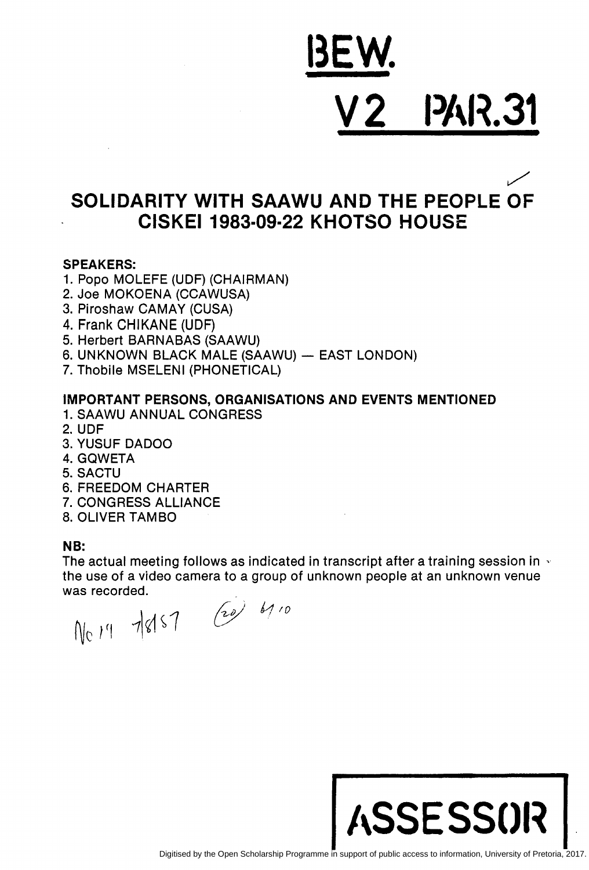# <u>ISEW.</u> **2 PAR.31**

## ~ SOLIDARITY WITH SAAWU AND THE PEOPLE OF CISKEI 1983-09·22 KHOTSO HOUSE

## SPEAKERS:

- 1. Pope MOLEFE (UDF) (CHAIRMAN)
- 2. Joe MOKOENA (CCAWUSA)
- 3. Piroshaw CAMAY (CUSA)
- 4. Frank CHIKANE (UDF)
- 5. Herbert BARNABAS (SAAWU)
- 6. UNKNOWN BLACK MALE (SAAWU) EAST LONDON)
- 7. Thobile MSELENI (PHONETICAL)

## IMPORTANT PERSONS, ORGANISATIONS AND EVENTS MENTIONED

- 1. SAAWU ANNUAL CONGRESS
- 2. UDF
- 3. YUSUF DADOO
- 4. GQWETA
- 5. SACTU
- 6. FREEDOM CHARTER
- 7. CONGRESS ALLIANCE
- 8. OLIVER TAMBO

### NB:

The actual meeting follows as indicated in transcript after a training session in  $\cdot$ the use of a video camera to a group of unknown people at an unknown venue

was recorded.<br>  $N_c$  /4  $\frac{1}{8}$  /57  $\frac{20}{4}$  67.0

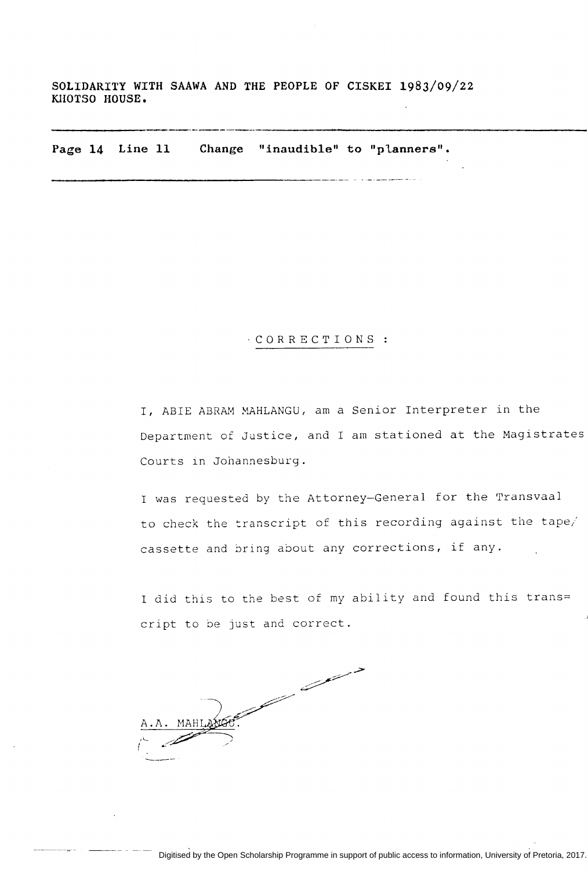**SOLIDARITY WITH SAAWA AND THE PEOPLE OF CISKEI 1983/09/22 KHOTSO HOUSE.** 

**Page 14 Line 11 Change "inaudible" to "planners".** 

#### ·CORRECTIONS

I, ABIE ABRAM MAHLANGU, am a Senior Interpreter in the Department of Justice, and I am stationed at the Magistrates Courts in Johannesburg.

I was requested by the Attorney-General for the Transvaal to check the transcript of this recording against the tape/ cassette and bring about any corrections, if any.

I did this to the best of my ability and found this trans= cript to be just and correct.

and the company of the company of the company of the company of the company of the company of the company of the company of the company of the company of the company of the company of the company of the company of the comp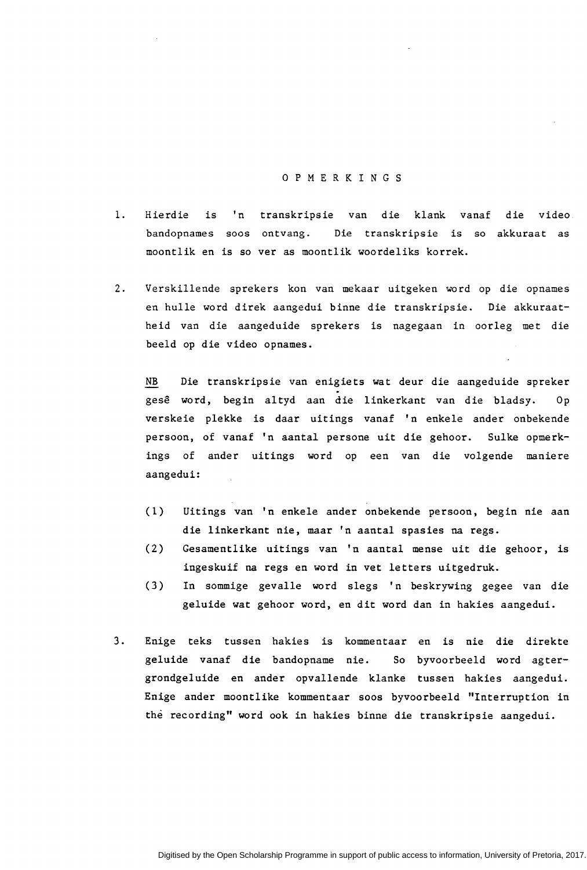#### 0 P M E R K I N G S

- 1. Hierdie is 'n transkripsie van die klank vanaf die video bandopnames soos ontvang. Die transkripsie is so akkuraat as moontlik en is so ver as moontlik woordeliks korrek.
- 2. Verskillende sprekers kon van mekaar uitgeken word op die opnames en hulle word direk aangedui binne die transkripsie. Die akkuraatheid van die aangeduide sprekers is nagegaan in oorleg met die beeld op die video opnames.

NB Die transkripsie van enigiets wat deur die aangeduide spreker gese word, begin altyd aan die linkerkant van die bladsy. Op verskeie plekke is daar uitings vanaf 'n enkele ander onbekende persoon, of vanaf 'n aantal persone uit die gehoor. Sulke opmerkings of ander uitings word op een van die volgende maniere aangedui:

- (1) Uitings van 'n enkele ander onbekende persoon, begin nie aan die linkerkant nie, maar 'n aantal spasies na regs.
- ( 2) Gesamentlike uitings van 1 n aantal mense uit die gehoor, is ingeskuif na regs en word in vet letters uitgedruk.
- (3) In sommige gevalle word slegs 'n beskrywing gegee van die geluide wat gehoor word, en dit word dan in hakies aangedui.
- 3. Enige teks tussen hakies is kommentaar en is nie die direkte geluide vanaf die bandopname nie. So byvoorbeeld word agtergrondgeluide en ander opvallende klanke tussen hakies aangedui. Enige ander moontlike kommentaar soos byvoorbeeld "Interruption in the recording" word ook in hakies binne die transkripsie aangedui.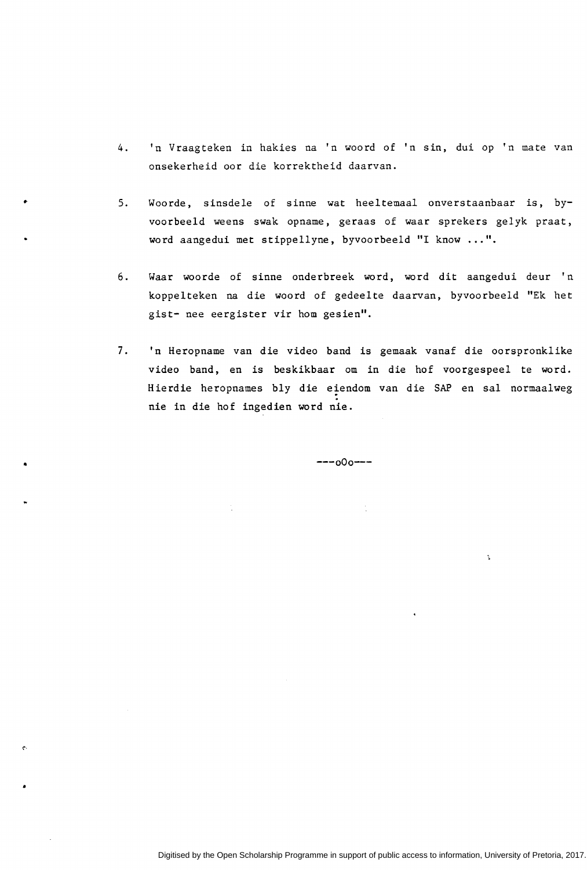- 4. 'n Vraagteken in hakies na 'n woord of 'n sin, dui op 'n mate van onsekerheid oor die korrektheid daarvan.
- 5. Woorde, sinsdele of sinne wat heeltemaal onverstaanbaar is, byvoorbeeld weens swak opname, geraas of waar sprekers gelyk praat, word aangedui met stippellyne, byvoorbeeld "I know ... ".
- 6. Waar woorde of sinne onderbreek word, word dit aangedui deur 'n koppelteken na die woord of gedeelte daarvan, byvoorbeeld "Ek het gist- nee eergister vir hom gesien".
- 7. 'n Heropname van die video band is gemaak vanaf die oorspronklike video band, en is beskikbaar om in die hof voorgespeel te word. Hierdie heropnames bly die eiendom van die SAP en sal normaalweg nie in die hof ingedien word nie.

---oOo---

t

•

•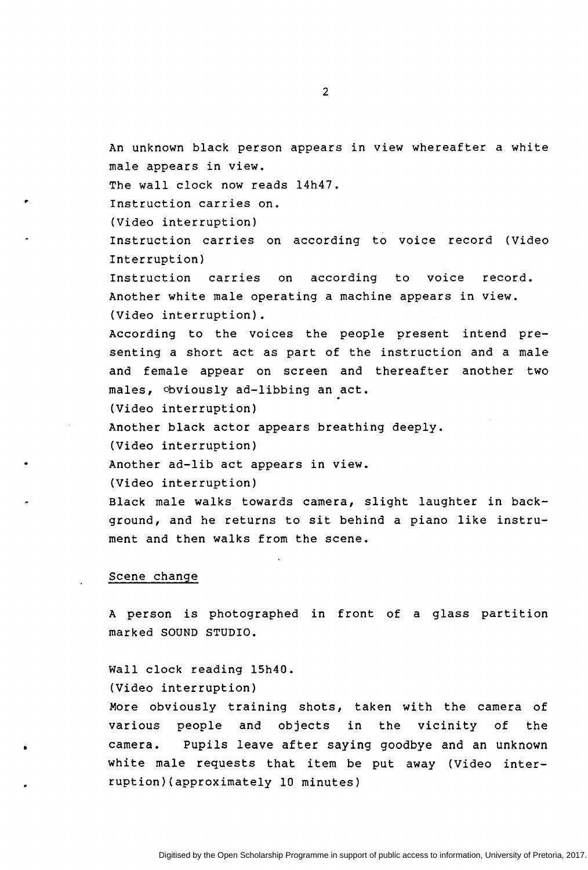An unknown black person appears in view whereafter a white male appears in view.

The wall clock now reads 14h47.

Instruction carries on.

(Video interruption)

,.

•

Instruction carries on according to voice record (Video Interruption}

Instruction carries on according to voice record. Another white male operating a machine appears in view. (Video interruption).

According to the voices the people present intend presenting a short act as part of the instruction and a male and female appear on screen and thereafter another two males, obviously ad-libbing an act.

(Video interruption}

Another black actor appears breathing deeply.

(Video interruption}

Another ad-lib act appears in view.

(Video interruption}

Black male walks towards camera, slight laughter in background, and he returns to sit behind a piano like instrument and then walks from the scene.

#### Scene change

A person is photographed in front of a glass partition marked SOUND STUDIO.

Wall clock reading 15h40.

(Video interruption}

More obviously training shots, taken with the camera of various people and objects in the vicinity of the camera. Pupils leave after saying goodbye and an unknown white male requests that item be put away {Video interruption){approximately 10 minutes}

2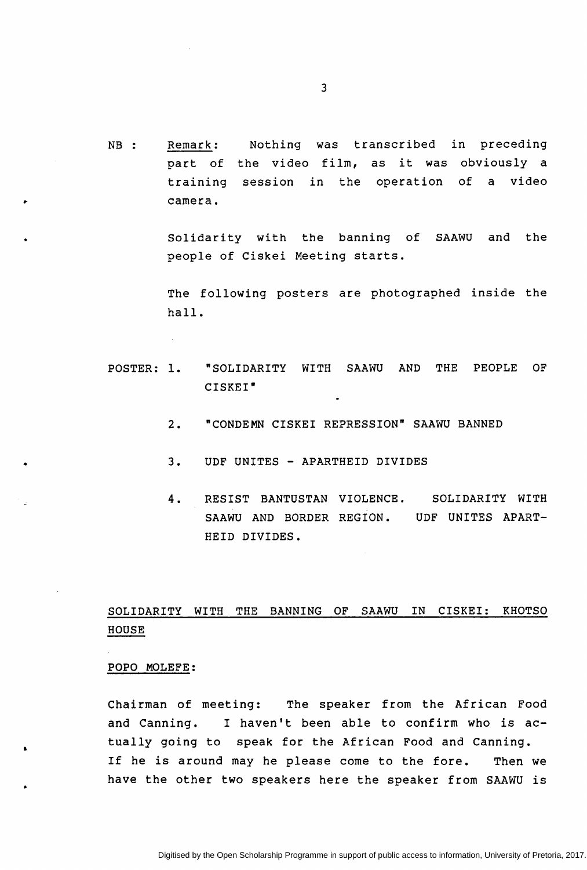NB : Remark: Nothing was transcribed in preceding part of the video film, as it was obviously a training session in the operation of a video camera.

> Solidarity with the banning of SAAWU and the people of Ciskei Meeting starts.

> The following posters are photographed inside the hall.

- POSTER: 1. "SOLIDARITY WITH SAAWU AND THE PEOPLE OF CISKEI"
	- 2. "CONDEMN CISKEI REPRESSION" SAAWU BANNED
	- 3. UDF UNITES - APARTHEID DIVIDES
	- 4 . RESIST BANTUSTAN VIOLENCE. SAAWU AND BORDER REGION. UDF UNITES APART-HEID DIVIDES. SOLIDARITY WITH

## SOLIDARITY WITH THE BANNING OF SAAWU IN CISKEI: KHOTSO HOUSE

#### POPO MOLEFE:

..

•

•

Chairman of meeting: The speaker from the African Food and canning. I haven't been able to confirm who is actually going to speak for the African Food and Canning. If he is around may he please come to the fore. Then we have the other two speakers here the speaker from SAAWU is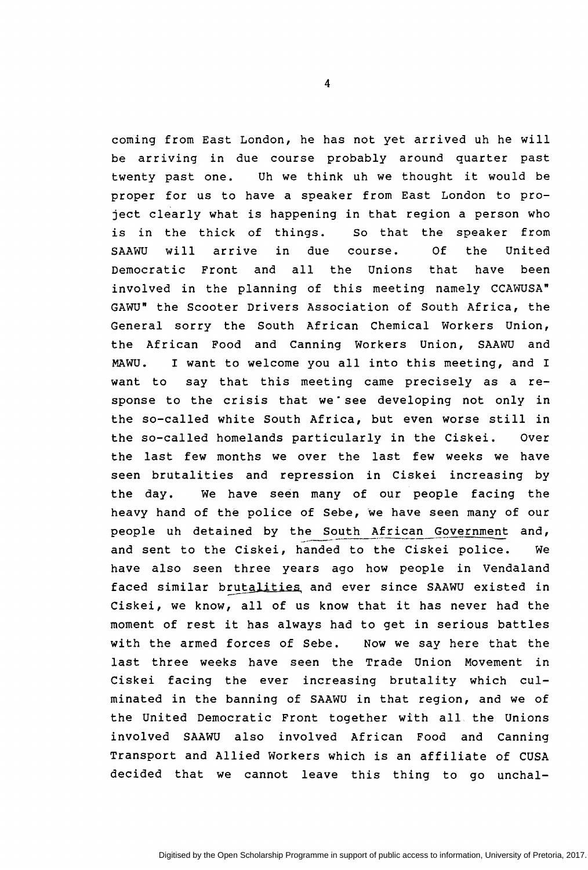coming from East London, he has not yet arrived uh he will be arriving in due course probably around quarter past twenty past one. Uh we think uh we thought it would be proper for us to have a speaker from East London to project clearly what is happening in that region a person who is in the thick of things. So that the speaker from SAAWU will arrive in due course. Of the United Democratic Front and all the Unions that have been involved in the planning of this meeting namely CCAWUSA" GAWU" the Scooter Drivers Association of South Africa, the General sorry the South African Chemical Workers Union, the African Food and Canning Workers Union, SAAWU and MAWU. I want to welcome you all into this meeting, and I want to say that this meeting came precisely as a response to the crisis that we see developing not only in the so-called white South Africa, but even worse still in the so-called homelands particularly in the Ciskei. Over the last few months we over the last few weeks we have seen brutalities and repression in Ciskei increasing by the day. we have seen many of our people facing the heavy hand of the police of Sebe, we have seen many of our people uh detained by the South African Government and,<br>and sent to the Ciskei, handed to the Ciskei police. We and sent to the Ciskei, handed to the Ciskei police. have also seen three years ago how people in Vendaland faced similar brutalities and ever since SAAWU existed in Ciskei, we know, all of us know that it has never had the moment of rest it has always had to get in serious battles with the armed forces of Sebe. Now we say here that the last three weeks have seen the Trade Union Movement in Ciskei facing the ever increasing brutality which culminated in the banning of SAAWU in that region, and we of the United Democratic Front together with all the Unions involved SAAWU also involved African Food and Canning Transport and Allied Workers which is an affiliate of CUSA decided that we cannot leave this thing to go unchal-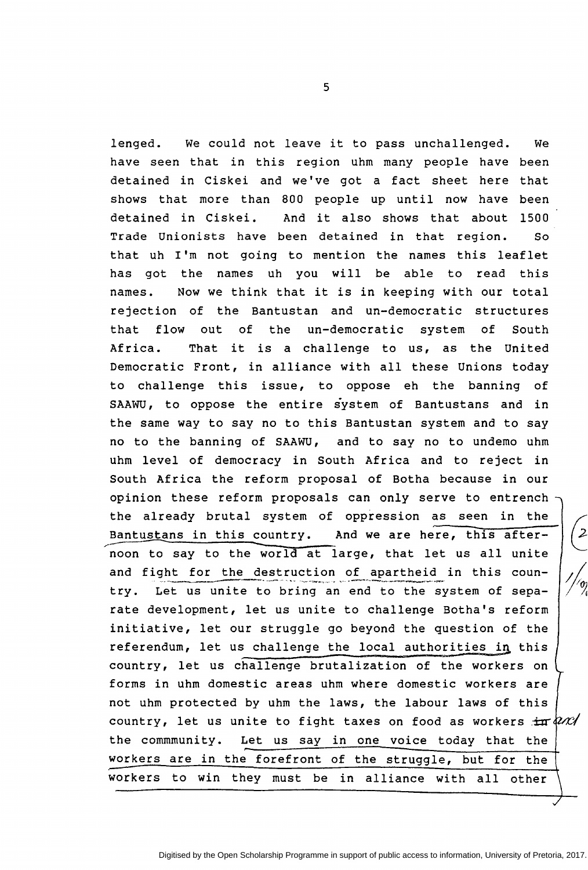lenged. We could not leave it to pass unchallenged. We have seen that in this region uhm many people have been detained in Ciskei and we've got a fact sheet here that shows that more than 800 people up until now have been detained in Ciskei. And it also shows that about 1500 Trade Unionists have been detained in that region. So that uh I'm not going to mention the names this leaflet has got the names uh you will be able to read this names. Now we think that it is in keeping with our total rejection of the Bantustan and un-democratic structures that flow out of the un-democratic system of South Africa. That it is a challenge to us, as the United Democratic Front, in alliance with all these Unions today to challenge this issue, to oppose eh the banning of SAAWU, to oppose the entire system of Bantustans and in the same way to say no to this Bantustan system and to say no to the banning of SAAWU, and to say no to undemo uhm uhm level of democracy in South Africa and to reject in South Africa the reform proposal of Botha because in our opinion these reform proposals can only serve to entrench the already brutal system of oppression as seen in the Bantustans in this country. And we are here, this after noon to say to the world at large, that let us all unite and fight for the destruction of apartheid in this country. Let us unite to bring an end to the system of separate development, let us unite to challenge Botha's reform initiative, let our struggle go beyond the question of the referendum, let us challenge the local authorities in this country, let us challenge brutalization of the workers on forms in uhm domestic areas uhm where domestic workers are not uhm protected by uhm the laws, the labour laws of this country, let us unite to fight taxes on food as workers  $\pm \pi \sqrt{2\pi t}$ the commmunity. Let us say in one voice today that the workers are in the forefront of the struggle, but for the workers to win they must be in alliance with all other

5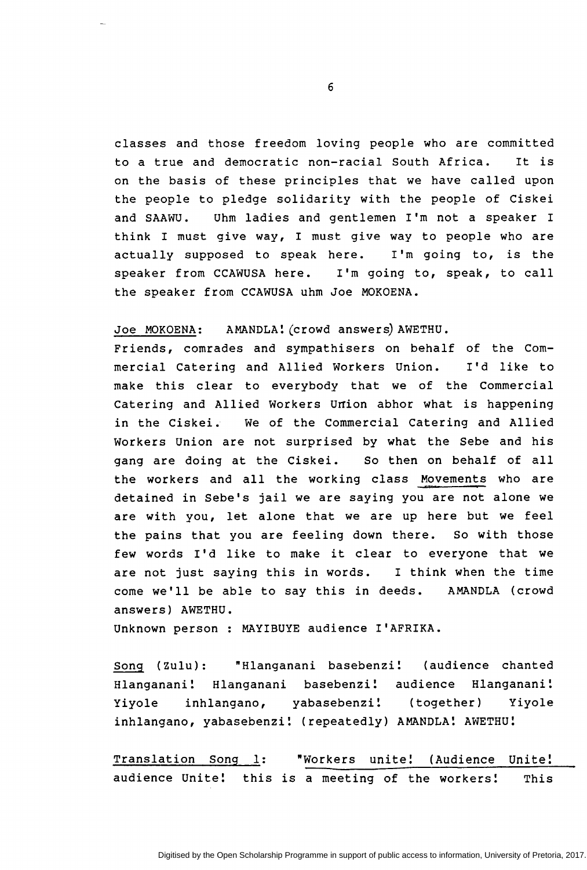classes and those freedom loving people who are committed to a true and democratic non-racial South Africa. It is on the basis of these principles that we have called upon the people to pledge solidarity with the people of Ciskei and SAAWU. Uhm ladies and gentlemen I'm not a speaker I think I must give way, I must give way to people who are actually supposed to speak here. I'm going to, is the speaker from CCAWUSA here. I'm going to, speak, to call the speaker from CCAWUSA uhm Joe MOKOENA.

Joe MOKOENA: AMANDLA! (crowd answers) AWETHU.

Friends, comrades and sympathisers on behalf of the Commercial Catering and Allied Workers Union. I'd like to make this clear to everybody that we of the Commercial Catering and Allied Workers Union abhor what is happening in the Ciskei. we of the Commercial Catering and Allied Workers Union are not surprised by what the Sebe and his gang are doing at the Ciskei. So then on behalf of all the workers and all the working class Movements who are detained in Sebe's jail we are saying you are not alone we are with you, let alone that we are up here but we feel the pains that you are feeling down there. so with those few words I'd like to make it clear to everyone that we are not just saying this in words. I think when the time come we'll be able to say this in deeds. AMANDLA (crowd answers) AWETHU.

Unknown person : MAYIBUYE audience I'AFRIKA.

Song (Zulu): "Hlanganani basebenzi! (audience chanted Hlanganani! Hlanganani basebenzi! audience Hlanganani! Yiyole inhlangano, yabasebenzi! (together) Yiyole inhlangano, yabasebenzi! (repeatedly) AMANDLA! AWETHU!

Translation Song 1: "Workers unite! (Audience Unite! audience Unite! this is a meeting of the workers! This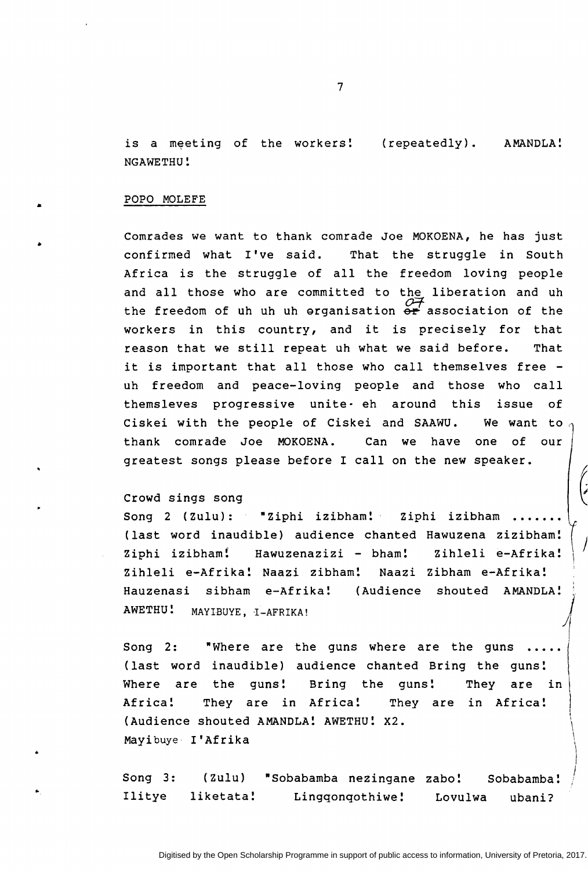is a meeting of the workers! (repeatedly). AMANDLA! NGAWETHU!

#### POPO MOLEFE

Comrades we want to thank comrade Joe MOKOENA, he has just confirmed what I've said. That the struggle in South Africa is the struggle of all the freedom loving people and all those who are committed to the liberation and uh the freedom of uh uh uh erganisation  $\frac{\partial F}{\partial r}$  association of the workers in this country, and it is precisely for that reason that we still repeat uh what we said before. That it is important that all those who call themselves free uh freedom and peace-loving people and those who call themsleves progressive unite· eh around this issue of Ciskei with the people of Ciskei and SAAWU. We want to thank comrade Joe MOKOENA. Can we have one of our greatest songs please before I call on the new speaker.

#### Crowd sings song

..

Song 2 (Zulu): "Ziphi izibham! Ziphi izibham (last word inaudible) audience chanted Hawuzena zizibham! Ziphi izibham! Hawuzenazizi - bham! Zihleli e-Afrika! Zihleli e-Afrika! Naazi zibham! Naazi Zibham e-Afrika!  $\tt Hauzenasi$  sibham e-Afrika! (Audience shouted AMANDLA! $\frac{1}{\sqrt{2}}$ AWETHU! MAYlBUYE, I-AFRIKA!  $\left\{\begin{array}{c} 1 \\ 1 \end{array}\right\}$ 

Song 2: "Where are the guns where are the guns (last word inaudible) audience chanted Bring the guns! Where are the guns! Bring the guns! They are in Africa! They are in Africa! They are in Africa! (Audience shouted AMANDLA! AWETHU! X2. Mayibuye I'Afrika

Song 3: (Zulu) \*Sobabamba nezingane zabo! Sobabamba! Ilitye liketata! Lingqonqothiwe! Lovulwa ubani?

 $\setminus$ 

)

 $\mathcal{L}$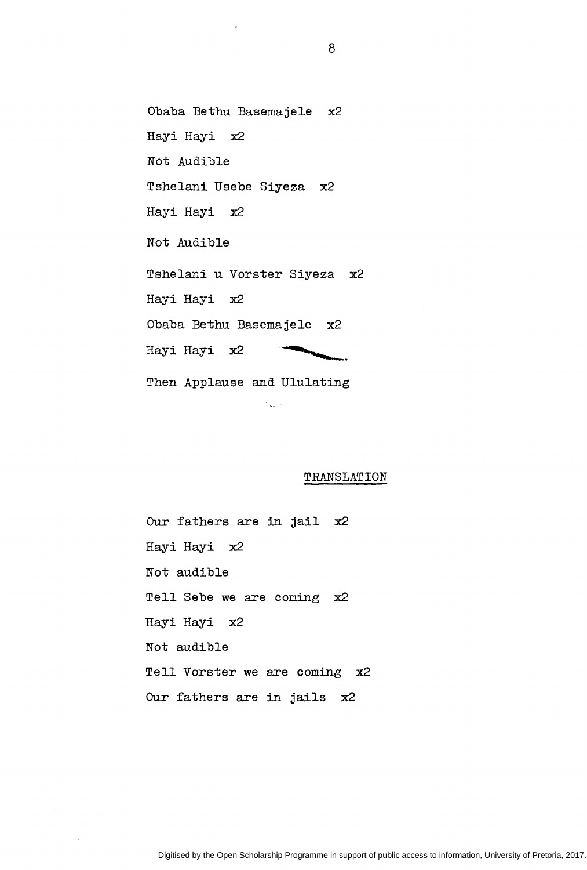Obaba Bethu Basemajele x2 Hayi Hayi x2 Not Audible Tshelani Usebe Siyeza x2 Hayi Hayi x2 Not Audible Tshelani u Vorster Siyeza x2 Hayi Hayi x2 Obaba Bethu Basemajele x2 Hayi Hayi x2 Then Applause and Ululating

 $\mathcal{F}_{\text{max}}$  .

#### TRANSLATION

Our fathers are in jail x2 Hayi Hayi x2 Not audible Tell Sebe we are coming x2 Hayi Hayi x2 Not audible Tell Vorster we are coming x2 Our fathers are in jails x2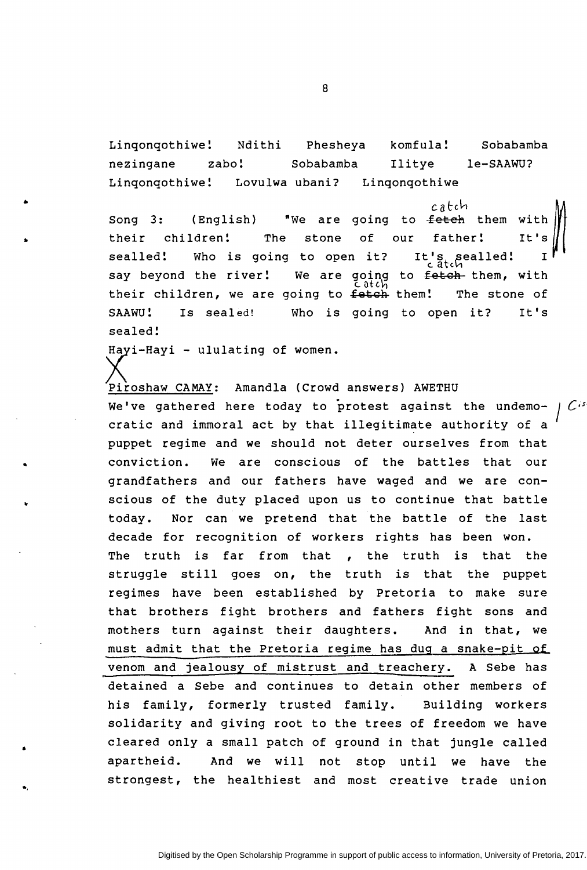Linqonqothiwe! Ndithi Phesheya komfula! Sobabamba nezingane zabo! Sobabamba Ilitye le-SAAWU? Linqonqothiwe! Lovulwa ubani? Linqonqothiwe

Song 3: (English) "We are going to <del>fetch</del> them with  $\|\cdot\|$ <br>their children! The stone of our father! It's It's sealled! I their children! The stone of sealled! Who is going to open it? say beyond the river! We are going to <del>fetch</del> them, with<br>catch<br>ing to fetch them! The stone of their children, we are going to fetch them! SAAWU! Is sealed! Who is going to open it? It's sealed!

Hayi-Hayi - ululating of women.

..

•

•.

Piroshaw CAMAY: Amandla (Crowd answers} AWETHU we've gathered here today to protest against the undemocratic and immoral act by that illegitimate authority of a puppet regime and we should not deter ourselves from that conviction. we are conscious of the battles that our grandfathers and our fathers have waged and we are conscious of the duty placed upon us to continue that battle today. Nor can we pretend that the battle of the last decade for recognition of workers rights has been won. The truth is far from that , the truth is that the struggle still goes on, the truth is that the puppet regimes have been established by Pretoria to make sure that brothers fight brothers and fathers fight sons and mothers turn against their daughters. And in that, we must admit that the Pretoria regime has dug a snake-pit of venom and jealousy of mistrust and treachery. A Sebe has detained a Sebe and continues to detain other members of his family, formerly trusted family. Building workers solidarity and giving root to the trees of freedom we have cleared only a small patch of ground in that jungle called apartheid. And we will not stop until we have the strongest, the healthiest and most creative trade union I *C·\$*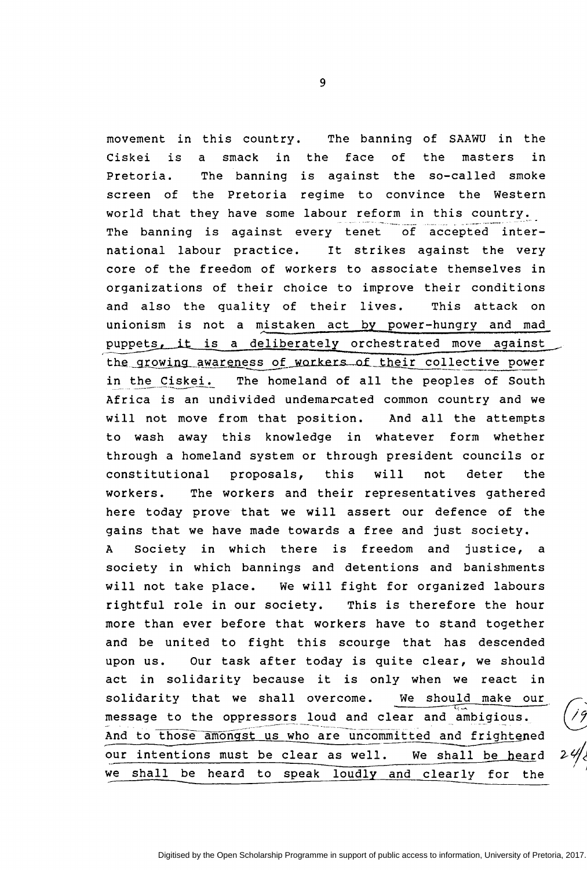movement in this country. The banning of SAAWU in the Ciskei is Pretoria. screen of world that they have some labour reform in this country. a The banning the Pretoria regime to convince the Western  $smack$ in the face of the masters in against the so-called smoke The banning is against every tenet of accepted international labour practice. It strikes against the very core of the freedom of workers to associate themselves in organizations of their choice to improve their conditions and also the quality of their lives. This attack on unionism is not a mistaken act by power-hungry and mad puppets, it is a deliberately orchestrated move against puppers, It is a definerately of the strated move against<br>the growing awareness of workers of their collective power in the Ciskei. The homeland of all the peoples of South<br>Africa is an undivided undemarcated common country and we will not move from that position. And all the attempts to wash away this knowledge in whatever form whether through a homeland system or through president councils or constitutional proposals, this will not deter the workers. The workers and their representatives gathered here today prove that we will assert our defence of the gains that we have made towards a free and just society. A Society in which there is freedom and justice, a society in which bannings and detentions and banishments will not take place. We will fight for organized labours rightful role in our society. This is therefore the hour more than ever before that workers have to stand together and be united to fight this scourge that has descended upon us. Our task after today is quite clear, we should act in solidarity because it is only when we react in solidarity that we shall overcome. We should make our message to the oppressors loud and clear and ambigious. And to those amongst us who are uncommitted and frightened our intentions must be clear as well. We shall be heard we shall be heard to speak loudly and clearly for the

9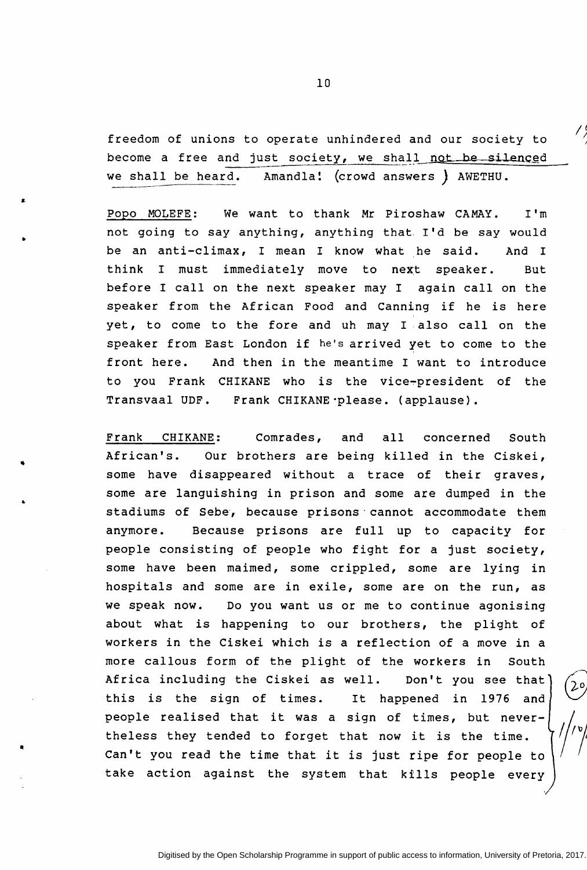freedom of unions to operate unhindered and our society to become a free and just society, we shall not be silenced we shall be heard. Amandla! (crowd answers *)* AWETHU.

 $\frac{1}{2}$ 

Popo MOLEFE: We want to thank Mr Piroshaw CAMAY. I'm not going to say anything, anything that. I'd be say would be an anti-climax, I mean I know what he said. And I think I must immediately move to next speaker. But before I call on the next speaker may I again call on the speaker from the African Food and Canning if he is here yet, to come to the fore and uh may I also call on the speaker from East London if he's arrived yet to come to the front here. And then in the meantime I want to introduce to you Frank CHIKANE who is the vice~president of the Transvaal UDF. Frank CHIKANE·please. (applause}.

..

•

Frank CHIKANE: Comrades, and all concerned South African's. Our brothers are being killed in the Ciskei, some have disappeared without a trace of their graves, some are languishing in prison and some are dumped in the stadiums of Sebe, because prisons·cannot accommodate them anymore. Because prisons are full up to capacity for people consisting of people who fight for a just society, some have been maimed, some crippled, some are lying in hospitals and some are in exile, some are on the run, as we speak now. Do you want us or me to continue agonising about what is happening to our brothers, the plight of workers in the Ciskei which is a reflection of a move in a more callous form of the plight of the workers in South Africa including the Ciskei as well. Don't you see that this is the sign of times. It happened in 1976 and people realised that it was a sign of times, but nevertheless they tended to forget that now it is the time . Can't you read the time that it is just ripe for people to take action against the system that kills people every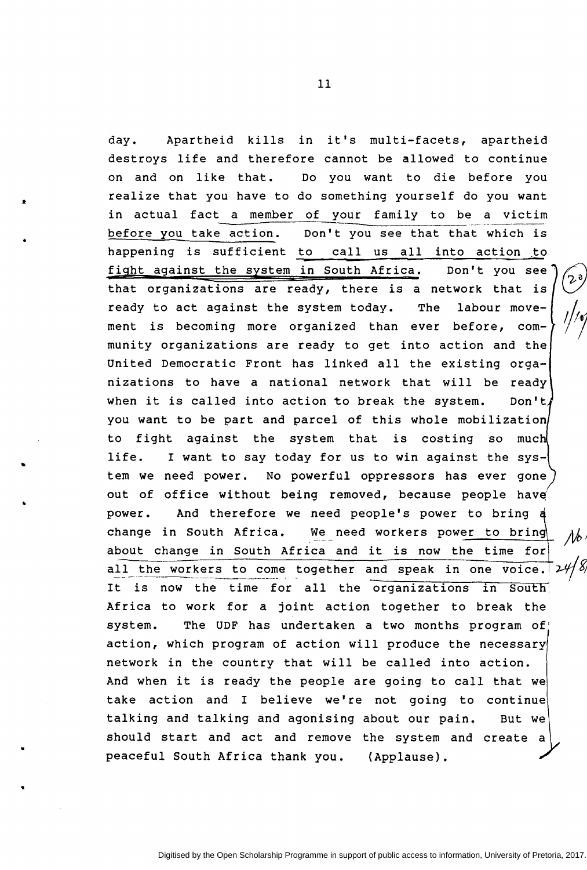day. Apartheid kills in it's multi-facets, apartheid destroys life and therefore cannot be allowed to continue on and on like that. Do you want to die before you realize that you have to do something yourself do you want in actual fact a member of your family to be a victim before you take action. happening is sufficient to call us all into action to Don't you see that that which is fiqht against the system in South Africa. Don't you see that organizations are ready, there is a network that is ready to act against the system today. The labour movement is becoming more organized than ever before, community organizations are ready to get into action and the United Democratic Front has linked all the existing organizations to have a national network that will be ready when it is called into action to break the system. Don't, you want to be part and parcel of this whole mobilization to fight against the system that is costing so much life. I want to say today for us to win against the system we need power. No powerful oppressors has ever gone out of office without being removed, because people have power. And therefore we need people's power to bring change in South Africa. We need workers power to bring about change in South Africa and it is now the time for~ all the workers to come together and speak in one voice.  $2\frac{H}{I}$ It is now the time for all the organizations in South Africa to work for a joint action together to break the system. The UDF has undertaken a two months program of' action, which program of action will produce the necessary network in the country that will be called into action. And when it is ready the people are going to call that we take action and I believe we're not going to continue talking and talking and agonising about our pain. But we should start and act and remove the system and create a peaceful South Africa thank you. (Applause).

..

•

..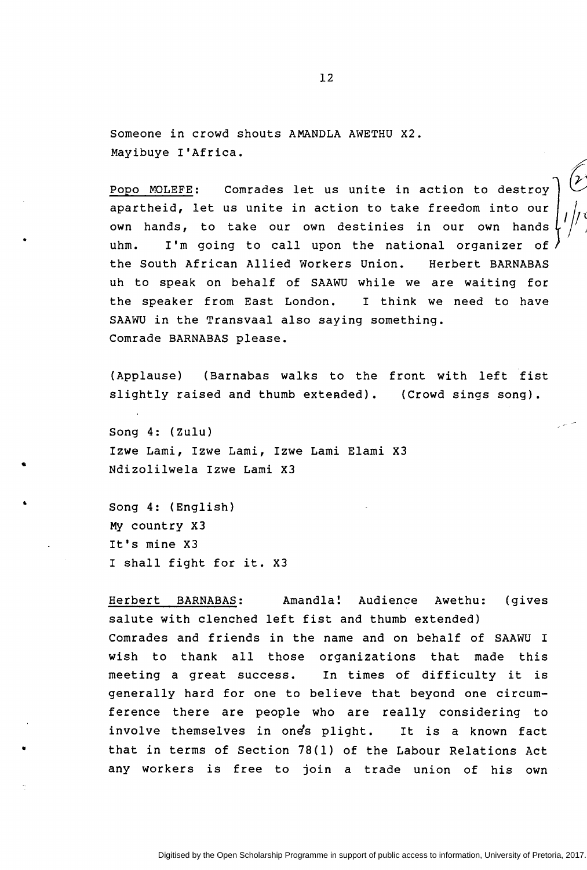Someone in crowd shouts AMANDLA AWETHU X2. Mayibuye I'Africa.

Popo MOLEFE: Comrades let us unite in action to destroy apartheid, let us unite in action to take freedom into our own hands, to take our own destinies in our own hands uhm. I'm going to call upon the national organizer of the South African Allied Workers Union. Herbert BARNABAS uh to speak on behalf of SAAWU while we are waiting for the speaker from East London. I think we need to have SAAWU in the Transvaal also saying something. Comrade BARNABAS please.

(Applause) (Barnabas walks to the front with left fist slightly raised and thumb extended). (Crowd sings song).

Song 4: (Zulu) Izwe Lami, Izwe Lami, Izwe Lami Elami X3 Ndizolilwela Izwe Lami X3

Song 4: (English) My country X3 It's mine X3 I shall fight for it. X3

•

•

•

•

Herbert BARNABAS: Amandla: Audience Awethu: salute with clenched left fist and thumb extended) (gives Comrades and friends in the name and on behalf of SAAWU I wish to thank all those organizations that made this meeting a great success. In times of difficulty it is generally hard for one to believe that beyond one circumference there are people who are really considering to involve themselves in one's plight. It is a known fact that in terms of Section 78(1) of the Labour Relations Act any workers is free to join a trade union of his own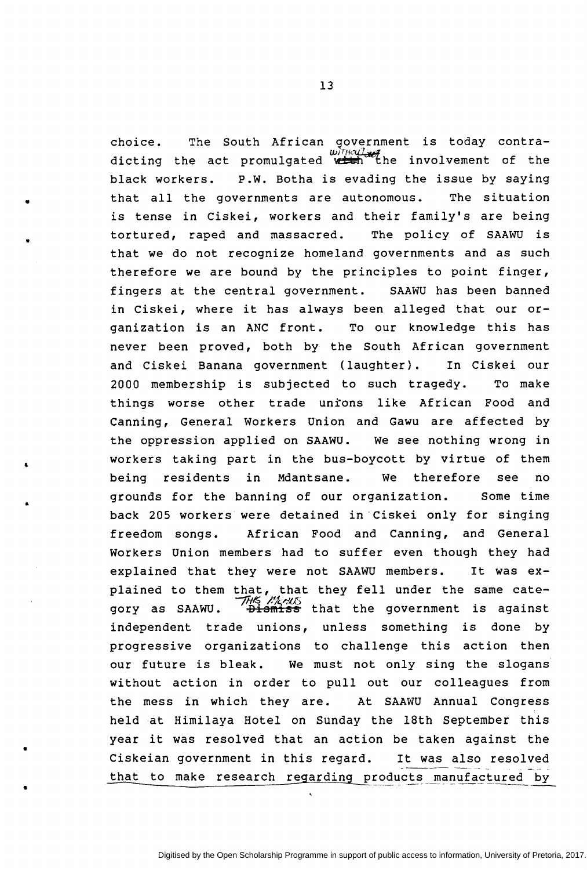choice. The South African government is today contra-<br>without with a set of the set of the set of the set of the set of the set of the set of the set of the set of the set of the set of the set of the set of the set of th dicting the act promulgated with the involvement of the black workers. P.W. Botha is evading the issue by saying that all the governments are autonomous. The situation is tense in Ciskei, workers and their family's are being tortured, raped and massacred. The policy of SAAWU is that we do not recognize homeland governments and as such therefore we are bound by the principles to point finger, fingers at the central government. SAAWU has been banned in Ciskei, where it has always been alleged that our organization is an ANC front. To our knowledge this has never been proved, both by the South African government and Ciskei Banana government (laughter}. In Ciskei our 2000 membership is subjected to such tragedy. To make things worse other trade untons like African Food and Canning, General Workers Union and Gawu are affected by the oppression applied on SAAWU. We see nothing wrong in workers taking part in the bus-boycott by virtue of them being residents in Mdantsane. We therefore see no grounds for the banning of our organization. Some time back 205 workers were detained in-ciskei only for singing freedom songs. African Food and Canning, and General Workers Union members had to suffer even though they had explained that they were not SAAWU members. It was explained to them that, that they fell under the same category as SAAWU. THIS MARKS that the government is against independent trade unions, unless something is done by progressive organizations to challenge this action then our future is bleak. We must not only sing the slogans without action in order to pull out our colleagues from the mess in which they are. At SAAWU Annual Congress held at Himilaya Hotel on Sunday the 18th September this year it was resolved that an action be taken against the Ciskeian government in this regard. It was also resolved that to make research regarding products manufactured by

•

..

..

..

•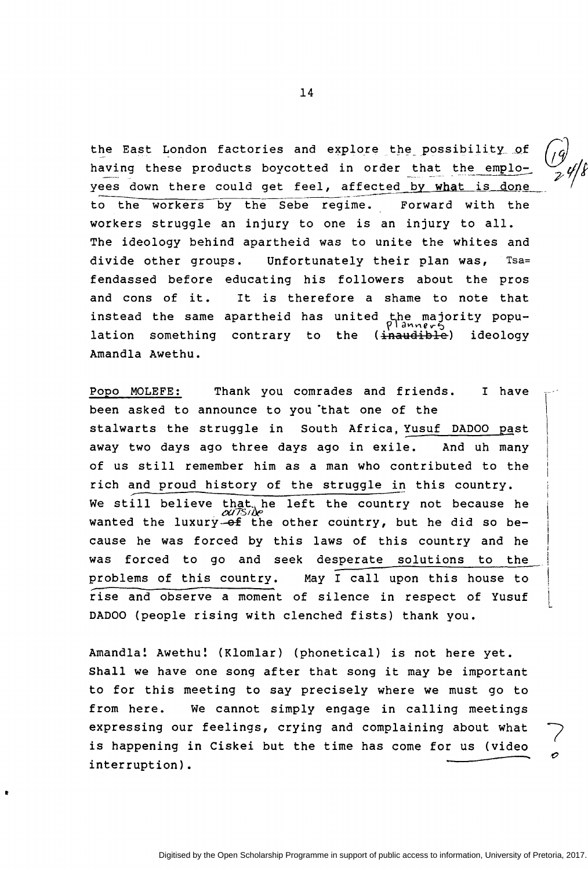the East London factories and explore the possibility of having these products boycotted in order that the employees down there could get feel, affected by what is done<br>to the workers by the Sebe regime. Forward with the to the workers by the Sebe regime. workers struggle an injury to one is an injury to all. The ideology behind apartheid was to unite the whites and divide other groups. Unfortunately their plan was, Tsa= fendassed before educating his followers about the pros and cons of it. instead the same apartheid has united the majority population something contrary to Amandla Awethu. It is therefore a shame to note that contrary to the (inaudible) ideology

Popo MOLEFE: Thank you comrades and friends. I have been asked to announce to you that one of the stalwarts the struggle in South Africa, Yusuf DADOO past away two days ago three days ago in exile. And uh many of us still remember him as a man who contributed to the rich and proud history of the struggle in this country. We still believe that he left the country not because he wanted the luxury-of the other country, but he did so because he was forced by this laws of this country and he was forced to go and seek desperate solutions to the problems of this country. May I call upon this house to rise and observe a moment of silence in respect of Yusuf DADOO (people rising with clenched fists) thank you.

Amandla! Awethu! (Klomlar) (phonetical) is not here yet. Shall we have one song after that song it may be important to for this meeting to say precisely where we must go to from here. We cannot simply engage in calling meetings expressing our feelings, crying and complaining about what is happening in Ciskei but the time has come for us (video interruption).

It

14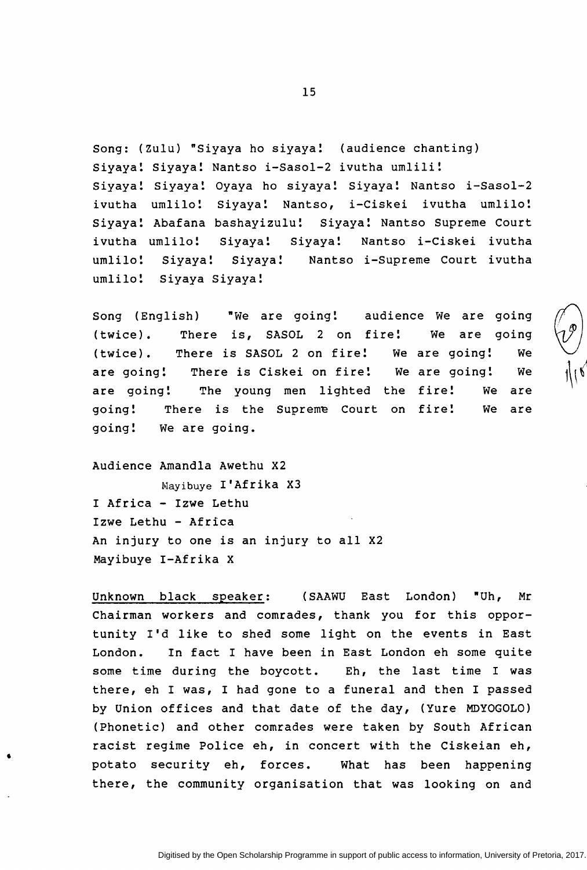Song: (Zulu) "Siyaya ho siyaya! (audience chanting) Siyaya! Siyaya! Nantso i-Sasol-2 ivutha umlili! Siyaya! Siyaya! Oyaya ho siyaya! Siyaya! Nantso i-Sasol-2 ivutha umlilo! Siyaya! Nantso, i-Ciskei ivutha umlilo! Siyaya! Abafana bashayizulu! Siyaya! Nantso Supreme Court ivutha umlilo! Siyaya! Siyaya! Nantso i-Ciskei ivutha umlilo! Siyaya! Siyaya! Nantso i-Supreme Court ivutha umlilo! Siyaya Siyaya!

Song (English) "We are going! audience We are going (twice). There is, SASOL 2 on fire! We are (twice). There is SASOL 2 on fire! We are going! going we are going! There is Ciskei on fire! We are going! We are going! The young men lighted the fire! We are going! There is the Supreme Court on fire! We are going! We are going.

Audience Amandla Awethu X2 Mayibuye I'Afrika X3 I Africa - Izwe Lethu Izwe Lethu - Africa An injury to one is an injury to all X2 Mayibuye I-Afrika X

•

Unknown black speaker: (SAAWU East London) "Uh, Mr Chairman workers and comrades, thank you for this opportunity I'd like to shed some light on the events in East London. In fact I have been in East London eh some quite some time during the boycott. Eh, the last time I was there, eh I was, I had gone to a funeral and then I passed by Union offices and that date of the day, (Yure MDYOGOLO) (Phonetic) and other comrades were taken by South African racist regime Police eh, in concert with the Ciskeian eh, potato security eh, forces. What has been happening there, the community organisation that was looking on and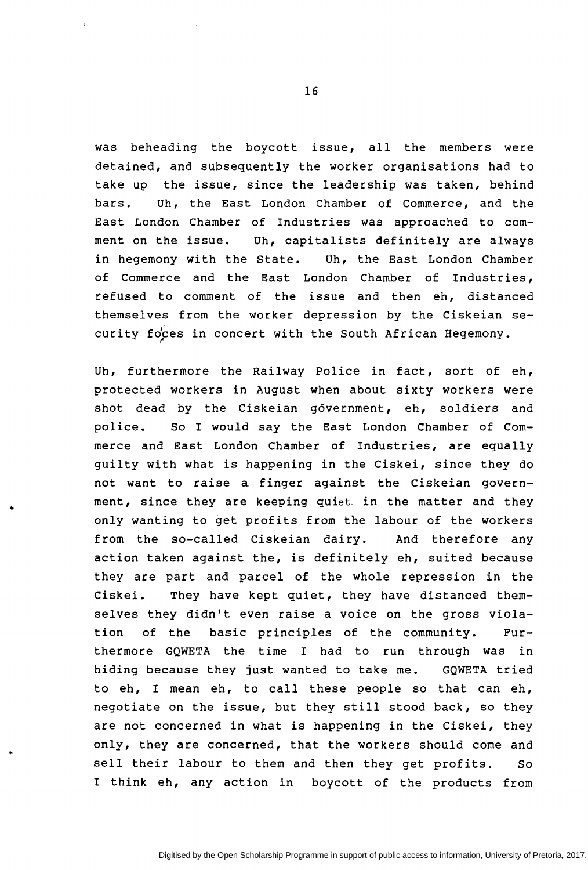was beheading the boycott issue, all the members were detained, and subsequently the worker organisations had to take up the issue, since the leadership was taken, behind bars. Uh, the East London Chamber of Commerce, and the East London Chamber of Industries was approached to comment on the issue. Uh, capitalists definitely are always in hegemony with the State. Uh, the East London Chamber of Commerce and the East London Chamber of Industries, refused to comment of the issue and then eh, distanced themselves from the worker depression by the Ciskeian security foces in concert with the South African Hegemony.

Uh, furthermore the Railway Police in fact, sort of eh, protected workers in August when about sixty workers were shot dead by the Ciskeian government, eh, soldiers and police. So I would say the East London Chamber of Commerce and East London Chamber of Industries, are equally guilty with what is happening in the Ciskei, since they do not want to raise a. finger against the Ciskeian government, since they are keeping quiet in the matter and they only wanting to get profits from the labour of the workers from the so-called Ciskeian dairy. And therefore any action taken against the, is definitely eh, suited because they are part and parcel of the whole repression in the Ciskei. They have kept quiet, they have distanced themselves they didn't even raise a voice on the gross violation of the basic principles of the community. Furthermore GQWETA the time I had to run through was in hiding because they just wanted to take me. GQWETA tried to eh, I mean eh, to call these people so that can eh, negotiate on the issue, but they still stood back, so they are not concerned in what is happening in the Ciskei, they only, they are concerned, that the workers should come and sell their labour to them and then they get profits. So I think eh, any action in boycott of the products from

..

..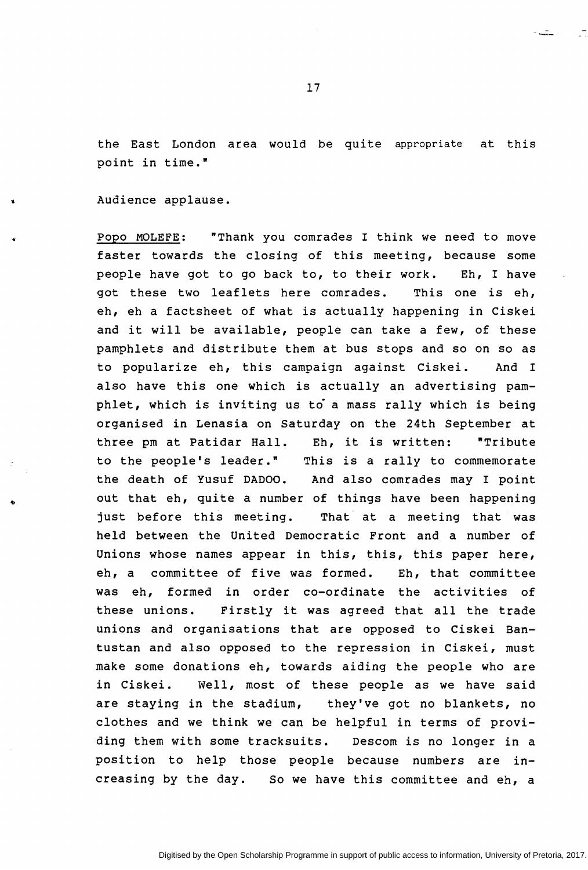the East London area would be quite appropriate at this point in time."

Audience applause.

Popo MOLEFE: "Thank you comrades I think we need to move faster towards the closing of this meeting, because some people have got to go back to, to their work. Eh, I have got these two leaflets here comrades. This one is eh, eh, eh a factsheet of what is actually happening in Ciskei and it will be available, people can take a few, of these pamphlets and distribute them at bus stops and so on so as to popularize eh, this campaign against Ciskei. And I also have this one which is actually an advertising pam $phlet$ , which is inviting us to a mass rally which is being organised in Lenasia on Saturday on the 24th September at three pm at Patidar Hall. Eh, it is written: "Tribute to the people's leader." This is a rally to commemorate the death of Yusuf DADOO. And also comrades may I point out that eh, quite a number of things have been happening just before this meeting. That at a meeting that was held between the United Democratic Front and a number of Unions whose names appear in this, this, this paper here, eh, a committee of five was formed. Eh, that committee was eh, formed in order co-ordinate the activities of these unions. Firstly it was agreed that all the trade unions and organisations that are opposed to Ciskei Bantustan and also opposed to the repression in Ciskei, must make some donations eh, towards aiding the people who are in Ciskei. Well, most of these people as we have said are staying in the stadium, they've got no blankets, no clothes and we think we can be helpful in terms of providing them with some tracksuits. Descom is no longer in a position to help those people because numbers are increasing by the day. So we have this committee and eh, a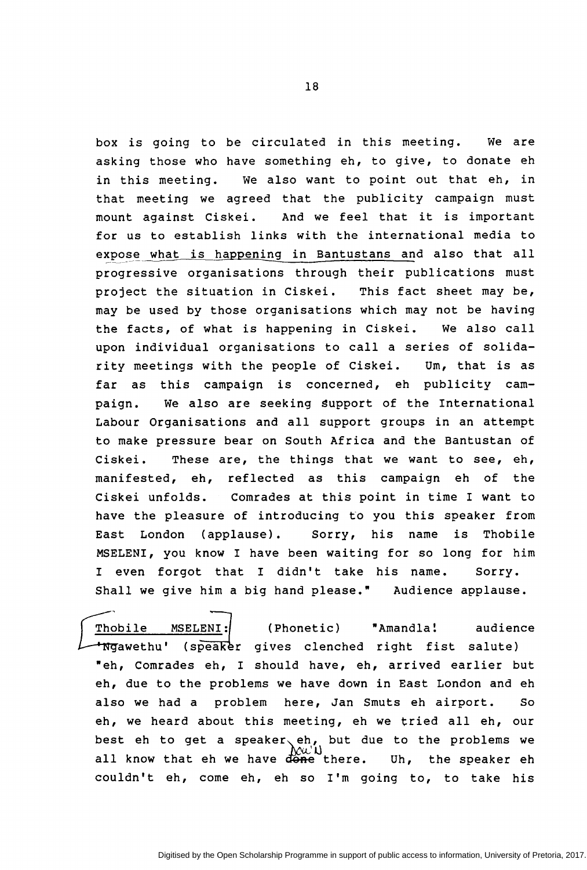box is going to be circulated in this meeting. We are asking those who have something eh, to give, to donate eh in this meeting. we also want to point out that eh, in that meeting we agreed that the publicity campaign must mount against Ciskei. And we feel that it is important for us to establish links with the international media to expose what is happening in Bantustans and also that all progressive organisations through their publications must project the situation in Ciskei. This fact sheet may be, may be used by those organisations which may not be having the facts, of what is happening in Ciskei. We also call upon individual organisations to call a series of solidarity meetings with the people of Ciskei. Um, that is as far as this campaign is concerned, eh publicity campaign. We also are seeking support of the International Labour Organisations and all support groups in an attempt to make pressure bear on South Africa and the Bantustan of Ciskei. These are, the things that we want to see, eh, manifested, eh, reflected as this campaign eh of the Ciskei unfolds. Comrades at this point in time I want to have the pleasure of introducing to you this speaker from East London (applause). Sorry, his name is Thobile MSELENI, you know I have been waiting for so long for him I even forgot that I didn't take his name. Sorry. Shall we give him a big hand please." Audience applause.

.<br><u>Dbile MSELENI:</u> (Phonetic) "Amandla! audien<br>Jawethu' (speaker gives clenched right fist salute) (Phonetic) "Amandla! audience "eh, Comrades eh, I should have, eh, arrived earlier but eh, due to the problems we have down in East London and eh also we had a problem here, Jan Smuts eh airport. So eh, we heard about this meeting, eh we tried all eh, our best eh to get a speaker eh, but due to the problems we all know that eh we have  $\frac{\partial u}{\partial n}$  the speaker eh couldn't eh, come eh, eh so I'm going to, to take his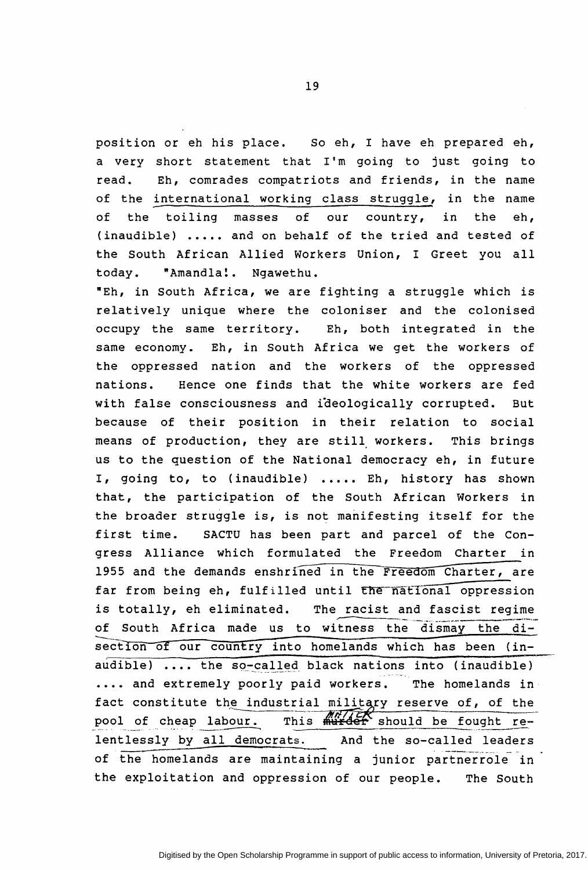position or eh his place. So eh, I have eh prepared eh, a very short statement that I'm going to just going to read. Eh, comrades compatriots and friends, in the name of the international working class struggle, in the name of the toiling masses of our country, in the eh, (inaudible) ..... and on behalf of the tried and tested of the South African Allied Workers Union, I Greet you all today. "Amandla!. Ngawethu.

"Eh, in South Africa, we are fighting a struggle which is relatively unique where the coloniser and the colonised occupy the same territory. Eh, both integrated in the same economy. Eh, in South Africa we get the workers of the oppressed nation and the workers of the oppressed nations. Hence one finds that the white workers are fed with false consciousness and ideologically corrupted. But because of their position in their relation to social means of production, they are still workers. This brings us to the question of the National democracy eh, in future I, going to, to (inaudible) ..... Eh, history has shown that, the participation of the South African Workers in the broader struggle is, is not manifesting itself for the first time. SACTU has been part and parcel of the Congress Alliance which formulated the Freedom Charter in 1955 and the demands enshrined in the Freedom Charter, are far from being eh, fulfilled until the national oppression is totally, eh eliminated. The racist and fascist regime of South Africa made us to witness the dismay the disection of our country into homelands which has been (inaudible) .... the so-called black nations into (inaudible) .... and extremely poorly paid workers. The homelands in fact constitute the industrial military reserve of, of the pool of cheap labour. This  $\frac{m}{2}$  should be fought relentlessly by all democrats. And the so-called leaders of the homelands are maintaining a junior partnerrole in the exploitation and oppression of our people. The south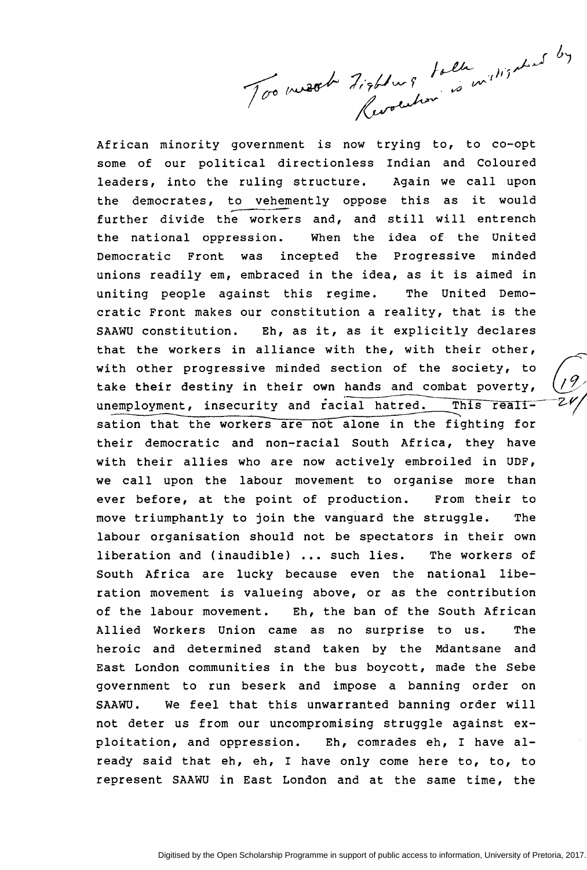Too mest tisblais talle millisation by

African minority government is now trying to, to co-opt some of our political directionless Indian and Coloured leaders, into the ruling structure. Again we call upon the democrates, to vehemently oppose this as further divide the workers and, and still will entrench it would the national oppression. When the idea of the United Democratic Front was incepted the Progressive minded unions readily em, embraced in the idea, as it is aimed in uniting people against this regime. The United Democratic Front makes our constitution a reality, that is the SAAWU constitution. Eh, as it, as it explicitly declares that the workers in alliance with the, with their other, with other progressive minded section of the society, to  $(9, 9)$ <br>take their destiny in their own hands and combat poverty,  $(9, 9)$ take their destiny in their own hands and combat poverty, unemployment, insecurity and racial hatred. This realisation that the workers are not alone in the fighting for their democratic and non-racial South Africa, they have with their allies who are now actively embroiled in UDF, we call upon the labour movement to organise more than ever before, at the point of production. From their to move triumphantly to join the vanguard the struggle. The labour organisation should not be spectators in their own liberation and (inaudible) ... such lies. The workers of South Africa are lucky because even the national liberation movement is valueing above, or as the contribution of the labour movement. Eh, the ban of the South African Allied Workers Union came as no surprise to us. The heroic and determined stand taken by the Mdantsane and East London communities in the bus boycott, made the Sebe government to run beserk and impose a banning order on SAAWU. We feel that this unwarranted banning order will not deter us from our uncompromising struggle against exploitation, and oppression. Eh, comrades eh, I have already said that eh, eh, I have only come here to, to, to represent SAAWU in East London and at the same time, the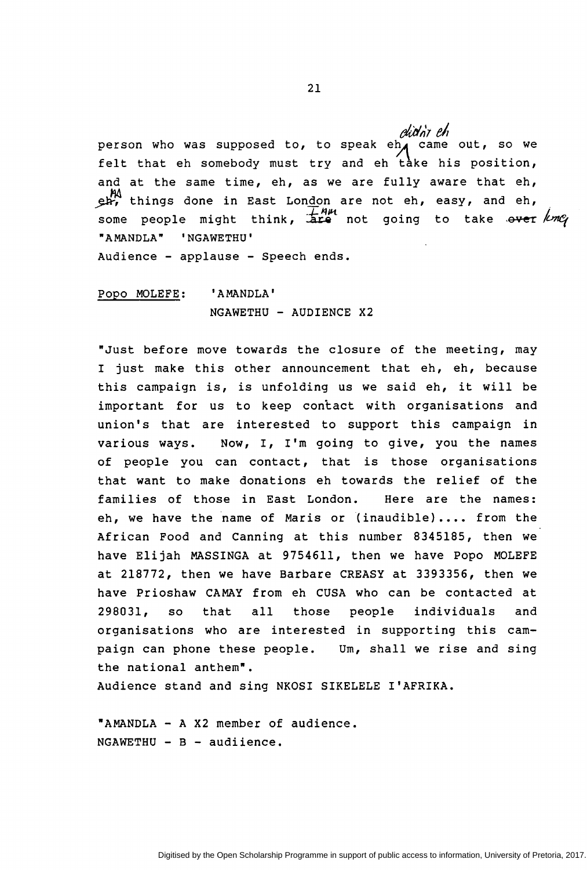*rdidnt eh* person who was supposed to, to speak eh, felt that eh somebody must try and eh take his position, came out, so we and at the same time, eh, as we are fully aware that eh, ~ things done in East London are not eh, easy, and eh, some people might think,  $\overline{A}{}^{H\mu}$  not going to take ever une "AMANDLA" 'NGAWETHU' Audience - applause - Speech ends.

Popo MOLEFE: 'AMANDLA' NGAWETHU - AUDIENCE X2

•Just before move towards the closure of the meeting, may I just make this other announcement that eh, eh, because this campaign is, is unfolding us we said eh, it will be important for us to keep contact with organisations and union's that are interested to support this campaign in various ways. Now, I, I'm going to give, you the names of people you can contact, that is those organisations that want to make donations eh towards the relief of the families of those in East London. Here are the names: eh, we have the name of Maris or (inaudible).... from the African Food and Canning at this number 8345185, then we have Elijah MASSINGA at 9754611, then we have Popo MOLEFE at 218772, then we have Barbare CREASY at 3393356, then we have Prioshaw CAMAY from eh CUSA who can be contacted at 298031, so that all those people individuals and organisations who are interested in supporting this campaign can phone these people. Um, shall we rise and sing the national anthem".

Audience stand and sing NKOSI SIKELELE I'AFRIKA.

•AMANDLA - A X2 member of audience.  $NGAWETHU - B - audilinear$